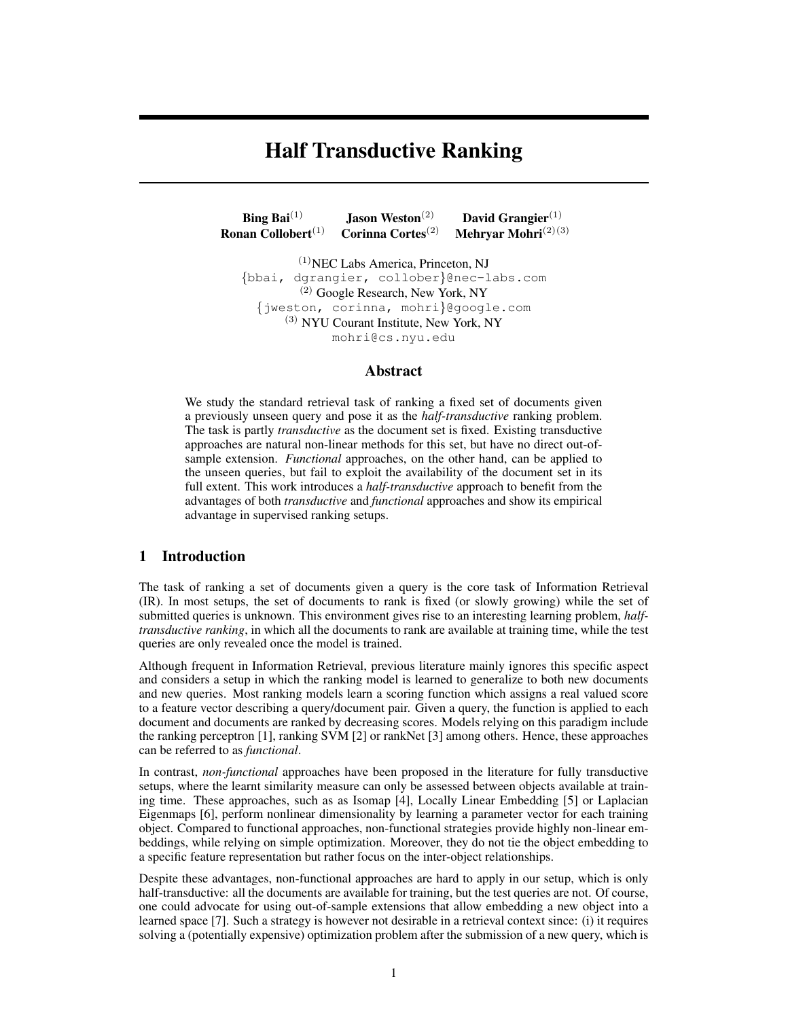# Half Transductive Ranking

**Bing Bai**<sup>(1)</sup> Jason Weston<sup>(2)</sup> David Grangier<sup>(1)</sup><br>nan Collobert<sup>(1)</sup> Corinna Cortes<sup>(2)</sup> Mehryar Mohri<sup>(2)(3</sup> Ronan Collobert<sup>(1)</sup> Corinna Cortes<sup>(2)</sup> Mehryar Mohri<sup>(2)(3)</sup>

(1)NEC Labs America, Princeton, NJ {bbai, dgrangier, collober}@nec-labs.com (2) Google Research, New York, NY {jweston, corinna, mohri}@google.com (3) NYU Courant Institute, New York, NY mohri@cs.nyu.edu

### Abstract

We study the standard retrieval task of ranking a fixed set of documents given a previously unseen query and pose it as the *half-transductive* ranking problem. The task is partly *transductive* as the document set is fixed. Existing transductive approaches are natural non-linear methods for this set, but have no direct out-ofsample extension. *Functional* approaches, on the other hand, can be applied to the unseen queries, but fail to exploit the availability of the document set in its full extent. This work introduces a *half-transductive* approach to benefit from the advantages of both *transductive* and *functional* approaches and show its empirical advantage in supervised ranking setups.

#### 1 Introduction

The task of ranking a set of documents given a query is the core task of Information Retrieval (IR). In most setups, the set of documents to rank is fixed (or slowly growing) while the set of submitted queries is unknown. This environment gives rise to an interesting learning problem, *halftransductive ranking*, in which all the documents to rank are available at training time, while the test queries are only revealed once the model is trained.

Although frequent in Information Retrieval, previous literature mainly ignores this specific aspect and considers a setup in which the ranking model is learned to generalize to both new documents and new queries. Most ranking models learn a scoring function which assigns a real valued score to a feature vector describing a query/document pair. Given a query, the function is applied to each document and documents are ranked by decreasing scores. Models relying on this paradigm include the ranking perceptron [1], ranking SVM [2] or rankNet [3] among others. Hence, these approaches can be referred to as *functional*.

In contrast, *non-functional* approaches have been proposed in the literature for fully transductive setups, where the learnt similarity measure can only be assessed between objects available at training time. These approaches, such as as Isomap [4], Locally Linear Embedding [5] or Laplacian Eigenmaps [6], perform nonlinear dimensionality by learning a parameter vector for each training object. Compared to functional approaches, non-functional strategies provide highly non-linear embeddings, while relying on simple optimization. Moreover, they do not tie the object embedding to a specific feature representation but rather focus on the inter-object relationships.

Despite these advantages, non-functional approaches are hard to apply in our setup, which is only half-transductive: all the documents are available for training, but the test queries are not. Of course, one could advocate for using out-of-sample extensions that allow embedding a new object into a learned space [7]. Such a strategy is however not desirable in a retrieval context since: (i) it requires solving a (potentially expensive) optimization problem after the submission of a new query, which is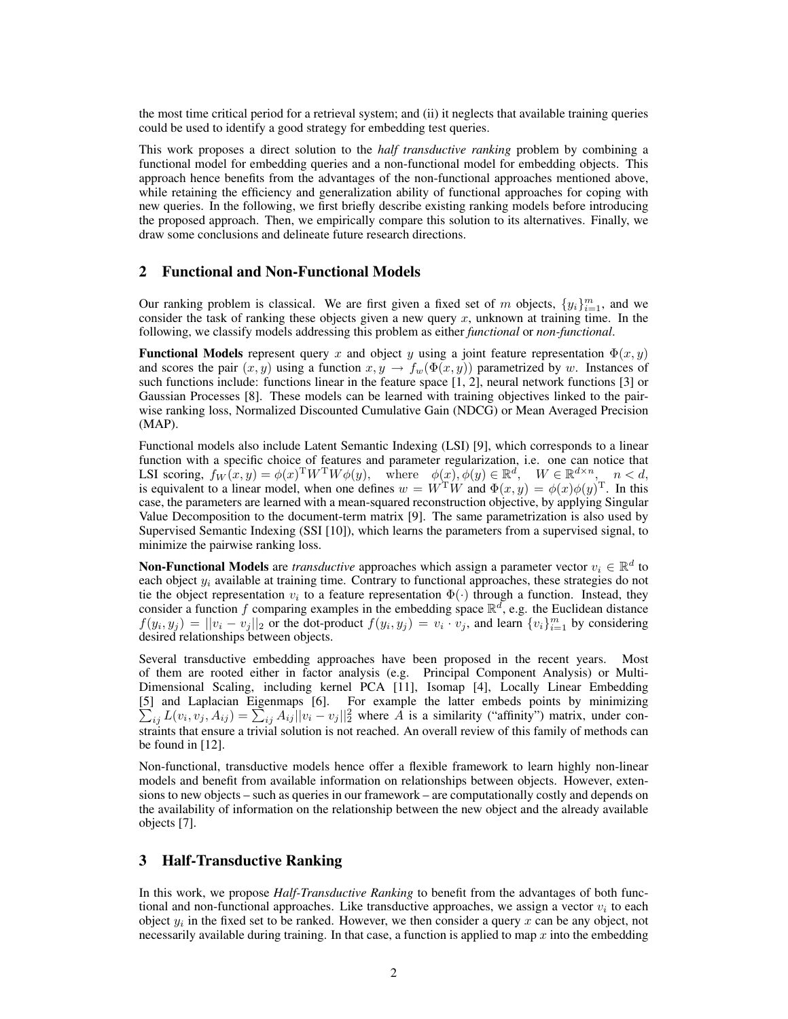the most time critical period for a retrieval system; and (ii) it neglects that available training queries could be used to identify a good strategy for embedding test queries.

This work proposes a direct solution to the *half transductive ranking* problem by combining a functional model for embedding queries and a non-functional model for embedding objects. This approach hence benefits from the advantages of the non-functional approaches mentioned above, while retaining the efficiency and generalization ability of functional approaches for coping with new queries. In the following, we first briefly describe existing ranking models before introducing the proposed approach. Then, we empirically compare this solution to its alternatives. Finally, we draw some conclusions and delineate future research directions.

# 2 Functional and Non-Functional Models

Our ranking problem is classical. We are first given a fixed set of m objects,  $\{y_i\}_{i=1}^m$ , and we consider the task of ranking these objects given a new query  $x$ , unknown at training time. In the following, we classify models addressing this problem as either *functional* or *non-functional*.

**Functional Models** represent query x and object y using a joint feature representation  $\Phi(x, y)$ and scores the pair  $(x, y)$  using a function  $x, y \to f_w(\Phi(x, y))$  parametrized by w. Instances of such functions include: functions linear in the feature space [1, 2], neural network functions [3] or Gaussian Processes [8]. These models can be learned with training objectives linked to the pairwise ranking loss, Normalized Discounted Cumulative Gain (NDCG) or Mean Averaged Precision (MAP).

Functional models also include Latent Semantic Indexing (LSI) [9], which corresponds to a linear function with a specific choice of features and parameter regularization, i.e. one can notice that LSI scoring,  $f_W(x, y) = \phi(x)^T W^T W \phi(y)$ , where  $\phi(x), \phi(y) \in \mathbb{R}^d$ ,  $W \in \mathbb{R}^{d \times n}$ ,  $n < d$ , is equivalent to a linear model, when one defines  $w = W<sup>T</sup>W$  and  $\Phi(x, y) = \phi(x)\phi(y)^{T}$ . In this case, the parameters are learned with a mean-squared reconstruction objective, by applying Singular Value Decomposition to the document-term matrix [9]. The same parametrization is also used by Supervised Semantic Indexing (SSI [10]), which learns the parameters from a supervised signal, to minimize the pairwise ranking loss.

**Non-Functional Models** are *transductive* approaches which assign a parameter vector  $v_i \in \mathbb{R}^d$  to each object  $y_i$  available at training time. Contrary to functional approaches, these strategies do not tie the object representation  $v_i$  to a feature representation  $\Phi(\cdot)$  through a function. Instead, they consider a function f comparing examples in the embedding space  $\mathbb{R}^d$ , e.g. the Euclidean distance  $f(y_i, y_j) = ||v_i - v_j||_2$  or the dot-product  $f(y_i, y_j) = v_i \cdot v_j$ , and learn  $\{v_i\}_{i=1}^m$  by considering desired relationships between objects.

Several transductive embedding approaches have been proposed in the recent years. Most of them are rooted either in factor analysis (e.g. Principal Component Analysis) or Multi-Dimensional Scaling, including kernel PCA [11], Isomap [4], Locally Linear Embedding [5] and Laplacian Eigenmaps [6]. For example the latter embeds points by minimizing  $\sum_{ij} L(v_i, v_j, A_{ij}) = \sum_{ij} A_{ij} ||v_i - v_j||_2^2$  where  $\overline{A}$  is a similarity ("affinity") matrix, under constraints that ensure a trivial solution is not reached. An overall review of this family of methods can be found in [12].

Non-functional, transductive models hence offer a flexible framework to learn highly non-linear models and benefit from available information on relationships between objects. However, extensions to new objects – such as queries in our framework – are computationally costly and depends on the availability of information on the relationship between the new object and the already available objects [7].

### 3 Half-Transductive Ranking

In this work, we propose *Half-Transductive Ranking* to benefit from the advantages of both functional and non-functional approaches. Like transductive approaches, we assign a vector  $v_i$  to each object  $y_i$  in the fixed set to be ranked. However, we then consider a query x can be any object, not necessarily available during training. In that case, a function is applied to map  $x$  into the embedding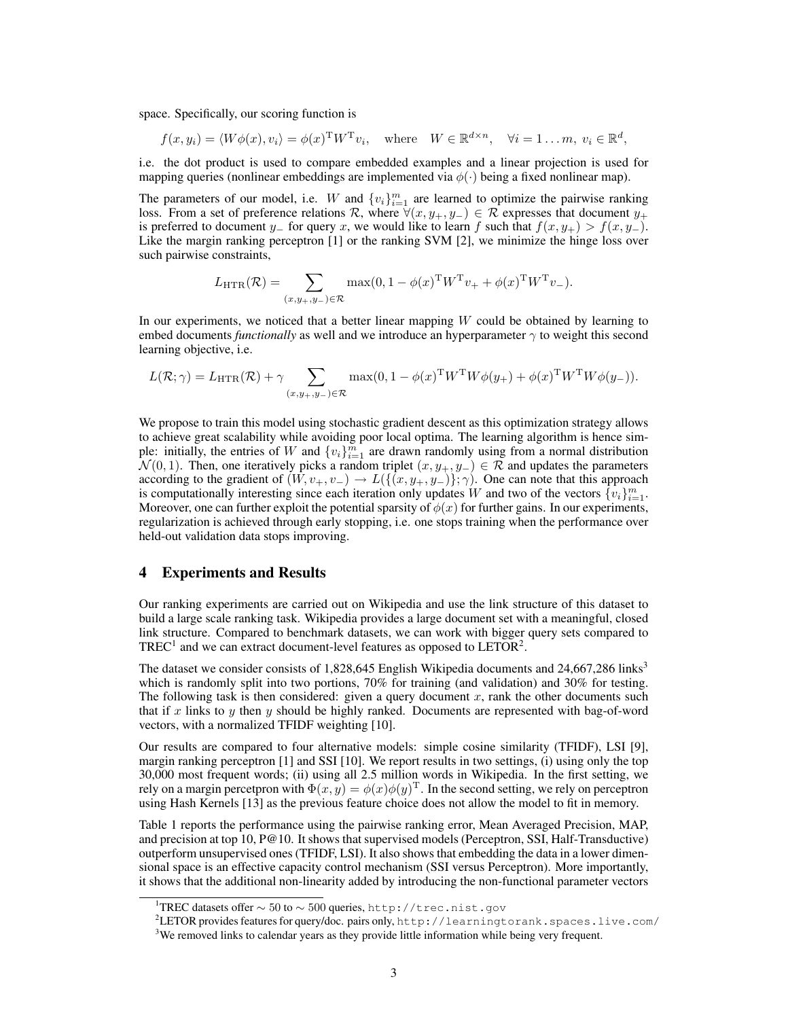space. Specifically, our scoring function is

$$
f(x, y_i) = \langle W\phi(x), v_i \rangle = \phi(x)^{\mathrm{T}} W^{\mathrm{T}} v_i
$$
, where  $W \in \mathbb{R}^{d \times n}$ ,  $\forall i = 1...m$ ,  $v_i \in \mathbb{R}^d$ ,

i.e. the dot product is used to compare embedded examples and a linear projection is used for mapping queries (nonlinear embeddings are implemented via  $\phi(\cdot)$  being a fixed nonlinear map).

The parameters of our model, i.e. W and  $\{v_i\}_{i=1}^m$  are learned to optimize the pairwise ranking loss. From a set of preference relations R, where  $\forall (x, y_+, y_-) \in \mathcal{R}$  expresses that document  $y_+$ is preferred to document y<sub>−</sub> for query x, we would like to learn f such that  $f(x, y<sub>+</sub>) > f(x, y<sub>-</sub>)$ . Like the margin ranking perceptron [1] or the ranking SVM [2], we minimize the hinge loss over such pairwise constraints,

$$
L_{\text{HTR}}(\mathcal{R}) = \sum_{(x,y_+,y_-) \in \mathcal{R}} \max(0, 1 - \phi(x)^{\text{T}} W^{\text{T}} v_+ + \phi(x)^{\text{T}} W^{\text{T}} v_-).
$$

In our experiments, we noticed that a better linear mapping  $W$  could be obtained by learning to embed documents *functionally* as well and we introduce an hyperparameter  $\gamma$  to weight this second learning objective, i.e.

$$
L(\mathcal{R};\gamma) = L_{\mathrm{HTR}}(\mathcal{R}) + \gamma \sum_{(x,y_+,y_-) \in \mathcal{R}} \max(0,1-\phi(x)^{\mathrm{T}} W^{\mathrm{T}} W \phi(y_+) + \phi(x)^{\mathrm{T}} W^{\mathrm{T}} W \phi(y_-)).
$$

We propose to train this model using stochastic gradient descent as this optimization strategy allows to achieve great scalability while avoiding poor local optima. The learning algorithm is hence simple: initially, the entries of W and  $\{v_i\}_{i=1}^{\overline{m}}$  are drawn randomly using from a normal distribution  $\mathcal{N}(0, 1)$ . Then, one iteratively picks a random triplet  $(x, y_+, y_-) \in \mathcal{R}$  and updates the parameters according to the gradient of  $(W, v_+, v_-) \to L({(x, y_+, y_-)}; \gamma)$ . One can note that this approach is computationally interesting since each iteration only updates W and two of the vectors  $\{v_i\}_{i=1}^m$ . Moreover, one can further exploit the potential sparsity of  $\phi(x)$  for further gains. In our experiments, regularization is achieved through early stopping, i.e. one stops training when the performance over held-out validation data stops improving.

# 4 Experiments and Results

Our ranking experiments are carried out on Wikipedia and use the link structure of this dataset to build a large scale ranking task. Wikipedia provides a large document set with a meaningful, closed link structure. Compared to benchmark datasets, we can work with bigger query sets compared to TREC<sup>1</sup> and we can extract document-level features as opposed to LETOR<sup>2</sup>.

The dataset we consider consists of  $1,828,645$  English Wikipedia documents and  $24,667,286$  links<sup>3</sup> which is randomly split into two portions, 70% for training (and validation) and 30% for testing. The following task is then considered: given a query document  $x$ , rank the other documents such that if x links to y then y should be highly ranked. Documents are represented with bag-of-word vectors, with a normalized TFIDF weighting [10].

Our results are compared to four alternative models: simple cosine similarity (TFIDF), LSI [9], margin ranking perceptron [1] and SSI [10]. We report results in two settings, (i) using only the top 30,000 most frequent words; (ii) using all 2.5 million words in Wikipedia. In the first setting, we rely on a margin percetpron with  $\Phi(x,y) = \phi(x)\phi(y)^{\mathrm{T}}$ . In the second setting, we rely on perceptron using Hash Kernels [13] as the previous feature choice does not allow the model to fit in memory.

Table 1 reports the performance using the pairwise ranking error, Mean Averaged Precision, MAP, and precision at top 10, P@10. It shows that supervised models (Perceptron, SSI, Half-Transductive) outperform unsupervised ones (TFIDF, LSI). It also shows that embedding the data in a lower dimensional space is an effective capacity control mechanism (SSI versus Perceptron). More importantly, it shows that the additional non-linearity added by introducing the non-functional parameter vectors

 $1$ TREC datasets offer  $\sim 50$  to  $\sim 500$  queries, http://trec.nist.gov

<sup>2</sup>LETOR provides features for query/doc. pairs only, http://learningtorank.spaces.live.com/ <sup>3</sup>We removed links to calendar years as they provide little information while being very frequent.